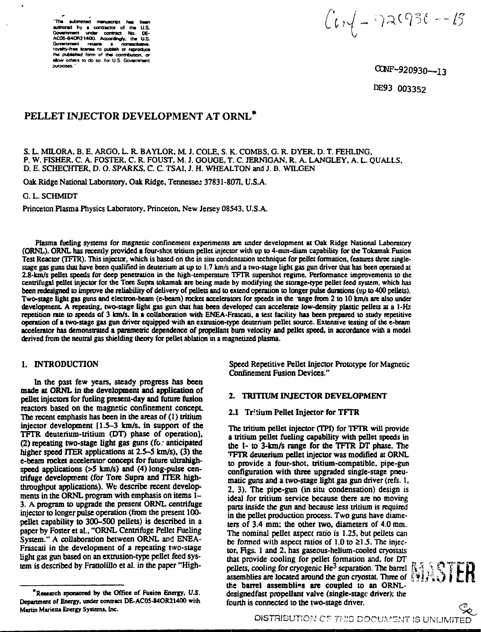"The submitted manuscript has authored by a contractor of the U.S. Government under contract No. DE-AC05-840R21400. Accordingly, the U.S. Government retains a nonasclusive, the published form of this contribution, a allow others to do so, for U.S. Government **DUEDOSAS** 

 $\int t\sqrt{1-\eta}$ 2(936 --13

CONF-920930--13

DE93 003352

# PELLET INJECTOR DEVELOPMENT AT ORNL<sup>\*</sup>

S. L. MILORA, B. E. ARGO, L. R. BAYLOR, M. J. COLE, S. K. COMBS, G. R. DYER, D. T. FEHLING, P. W. FISHER, C. A. FOSTER, C. R. FOUST, M. J. GOUGE, T. C. JERNIGAN, R. A. LANGLEY, A. L. OUALLS. D. E. SCHECHTER, D. O. SPARKS, C. C. TSAI, J. H. WHEALTON and J. B. WILGEN

Oak Ridge National Laboratory, Oak Ridge, Tennessee 37831-8071, U.S.A.

G. L. SCHMIDT

Princeton Plasma Physics Laboratory, Princeton, New Jersey 08543, U.S.A.

Plasma fueling systems for magnetic confinement experiments are under development at Oak Ridge National Laboratory (ORNL). ORNL has recently provided a four-shot tritium pellet injector with up to 4-mm-diam capability for the Tokamak Fusion Test Reactor (TFTR). This injector, which is based on the in situ condensation technique for pellet formation, features three singlestage gas guns that have been qualified in deuterium at up to 1.7 km/s and a two-stage light gas gun driver that has been operated at 2.8-km/s pellet speeds for deep penetration in the high-temperature TFTR supershot regime. Performance improvements to the centrifugal pellet injector for the Tore Supra tokamak are being made by modifying the storage-type pellet feed system, which has been redesigned to improve the reliability of delivery of pellets and to extend operation to longer pulse durations (up to 400 pellets). Two-stage light gas guns and electron-beam (e-beam) rocket accelerators for speeds in the ange from 2 to 10 km/s are also under development. A repeating, two-stage light gas gun that has been developed can accelerate low-density plastic pellets at a 1-Hz repetition rate to speeds of 3 km/s. In a collaboration with ENEA-Frascati, a test facility has been prepared to study repetitive operation of a two-stage gas gun driver equipped with an extrusion-type deuterium pellet source. Extensive testing of the e-beam accelerator has demonstrated a parametric dependence of propellant burn velocity and pellet speed, in accordance with a model derived from the neutral gas shielding theory for pellet ablation in a magnetized plasma.

### 1. INTRODUCTION

In the past few years, steady progress has been made at ORNL in the development and application of pellet injectors for fueling present-day and future fusion reactors based on the magnetic confinement concept. The recent emphasis has been in the areas of (1) tritium injector development [1.5-3 km/s, in support of the TFTR deuterium-tritium (DT) phase of operation], (2) repeating two-stage light gas guns (fo. anticipated higher speed ITER applications at 2.5–5 km/s), (3) the e-beam rocket accelerator concept for future ultrahighspeed applications (>5 km/s) and (4) long-pulse centrifuge development (for Tore Supra and ITER highthroughput applications). We describe recent developments in the ORNL program with emphasis on items 1– 3. A program to upgrade the present ORNL centrifuge injector to longer pulse operation (from the present 100pellet capability to 300–500 pellets) is described in a paper by Foster et al., "ORNL Centrifuge Pellet Fueling System." A collaboration between ORNL and ENEA-Frascati in the development of a repeating two-stage light gas gun based on an extrusion-type pellet feed system is described by Frattolillo et al. in the paper "HighSpeed Repetitive Pellet Injector Prototype for Magnetic **Confinement Fusion Devices."** 

### 2. TRITIUM INJECTOR DEVELOPMENT

### 2.1 Tritium Pellet Injector for TFTR

The tritium pellet injector (TPI) for TFTR will provide a tritium pellet fueling capability with pellet speeds in the 1- to 3-km/s range for the TFTR DT phase. The TFTR deuterium pellet injector was modified at ORNL to provide a four-shot, tritium-compatible, pipe-gun configuration with three upgraded single-stage pneumatic guns and a two-stage light gas gun driver (refs. 1, 2, 3). The pipe-gun (in situ condensation) design is ideal for tritium service because there are no moving parts inside the gun and because less tritium is required in the pellet production process. Two guns have diameters of 3.4 mm; the other two, diameters of 4.0 mm. The nominal pellet aspect ratio is 1.25, but pellets can be formed with aspect ratios of 1.0 to  $\geq$ 1.5. The injector, Figs. 1 and 2, has gaseous-helium-cooled cryostats that provide cooling for pellet formation and, for DT pellets, cooling for cryogenic He<sup>3</sup> separation. The barrel  $\left\{ \begin{matrix} 1 & 0 \\ 0 & 1 \end{matrix} \right\}$  assemblies are located around the gun cryostat. Three of  $\left\{ \begin{matrix} 0 & 0 \\ 0 & 1 \end{matrix} \right\}$ the barrel assemblies are coupled to an ORNLdesignedfast propellant valve (single-stage driver); the fourth is connected to the two-stage driver.



<sup>&</sup>quot;Research sponsored by the Office of Fusion Energy, U.S. Department of Energy, under contract DE-AC05-84OR21400 with Martin Marietta Energy Systems, Inc.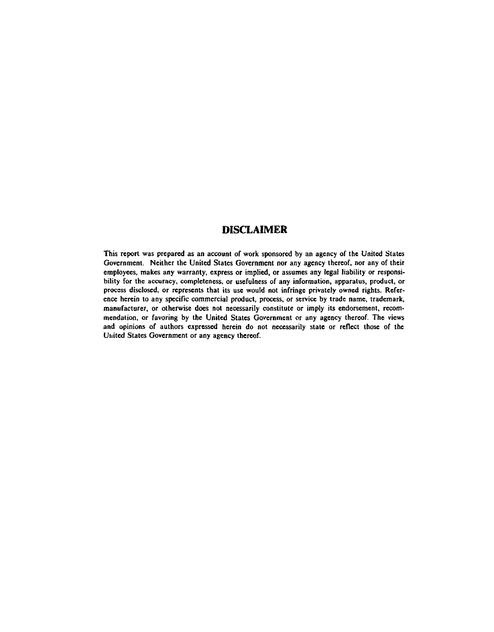# **DISCLAIMER**

**This report was prepared as an account of work sponsored by an agency of the United States Government. Neither the United States Government nor any agency thereof, nor any of their employees, makes any warranty, express or implied, or assumes any legal liability or responsibility for the accuracy, completeness, or usefulness of any information, apparatus, product, or process disclosed, or represents that its use would not infringe privately owned rights. Reference herein to any specific commercial product, process, or service by trade name, trademark, manufacturer, or otherwise does not necessarily constitute or imply its endorsement, recommendation, or favoring by the United States Government or any agency thereof. The views and opinions of authors expressed herein do not necessarily state or reflect those of the Utiited States Government or any agency thereof.**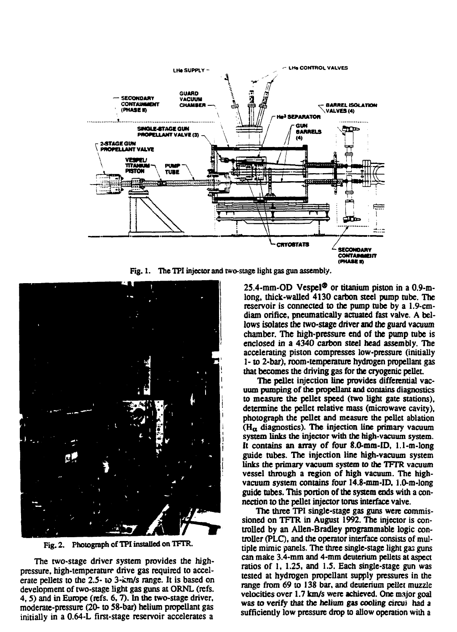

**Fig. 1. The TPI injector and two-stage light gas gun assembly.**



**Fig. 2. Photograph of TPI installed on TFTR.**

**The two-stage driver system provides the highpressure, high-temperature drive gas required to accelerate pellets to the 2.5- to 3-km/s range. It is based on development of two-stage light gas guns at ORNL (refs. 4,5) and in Europe (refs. 6,7). In the two-stage driver, moderate-pressure (20- to 58-bar) helium propellant gas initially in a 0.64-L first-stage reservoir accelerates a**

**25.4-mm-OD Vespel® or titanium piston in a 0.9-mlong, thick-walled 4130 carbon steel pump tube. The reservoir is connected to the pump tube by a 1.9-cmdiam orifice, pneumatically actuated fast valve. A bellows isolates the two-stage driver and the guard vacuum chamber. The high-pressure end of the pump tube is enclosed in a 4340 carbon steel head assembly. The accelerating piston compresses low-pressure (initially 1- to 2-bar), room-temperature hydrogen propellant gas that becomes the driving gas for the cryogenic pellet**

**The pellet injection line provides differential vacuum pumping of the propellant and contains diagnostics to measure the pellet speed (two light gate stations), determine the pellet relative mass (microwave cavity), photograph the pellet and measure the pellet ablation (Ha diagnostics). The injection line primary vacuum system links the injector with the high-vacuum system. It contains an array of four 8.0-mm-ID, 1.1-m-long guide tubes. The injection line high-vacuum system links the primary vacuum system to the TFTR vacuum vessel through a region of high vacuum. The highvacuum system contains four 14.8-mm-ID, 1.0-m-long guide tubes. This portion of the system ends with a connection to the pellet injector torus interface valve.**

**The three TPI single-stage gas guns were commissioned on TFTR in August 1992. The injector is controlled by an Allen-Bradley programmable logic controller (PLO, and the operator interface consists of multiple mimic panels. The three single-stage light gas guns can make 3.4-mm and 4-mm deuterium pellets at aspect ratios of 1, 1.2S, and 1.5. Each single-stage gun was tested at hydrogen propellant supply pressures in the range from 69 to 138 bar, and deuterium pellet muzzle velocities over 1.7 km/s were achieved. One major goal was to verify that the helium gas cooling circus had a sufficiently low pressure drop to allow operation with a**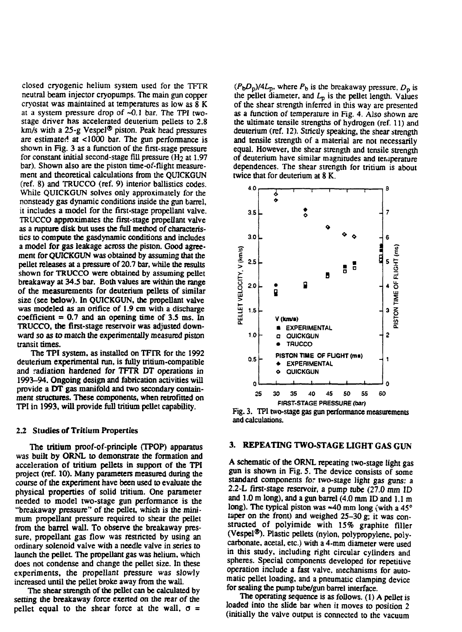**closed cryogenic helium system used for the TFTR neutral beam injector cryopumps. The main gun copper cryostat was maintained at temperatures as low as 8 K at a system pressure drop of -0.1 bar. The TPI twostage driver has accelerated deuterium pellets to 2.8 km/s with a 25-g Vespel® piston. Peak head pressures are estimated at <1000 bar. The gun performance is shown in Fig. 3 as a function of the first-stage pressure for constant initial second-stage fill pressure (H2 at 1.97 bar). Shown also are the piston time-of-flight measurement and theoretical calculations from the QUICKGUN (ref. 8) and TRUCCO (ref. 9) interior ballistics codes. While QUICKGUN solves only approximately for the nonsteady gas dynamic conditions inside the gun barrel, it includes a model for the first-stage propellant valve. TRUCCO approximates the first-stage propellant valve as a rupture disk but uses the full method of characteristics to compute the gasdynamic conditions and includes a model for gas leakage across the piston. Good agreement for QUICKGUN was obtained by assuming that the pellet releases at a pressure of 20.7 bar, while the results shown for TRUCCO were obtained by assuming pellet breakaway at 34.5 bar. Both values are within the range of the measurements for deuterium pellets of similar size (see below). In QUICKGUN, the propellant valve was modeled as an orifice of 1.9 cm with a discharge coefficient = 0.7 and an opening time of 3.5 ms. In TRUCCO, the first-stage reservoir was adjusted downward so as to match the experimentally measured piston transit times.**

**The TPI system, as installed on TFTR for the 1992 deuterium experimental run, is fully tritium-compatible and radiation hardened for TFTR DT operations in 1993-94. Ongoing design and fabrication activities will provide a DT gas manifold and two secondary containment structures. These components, when retrofitted on TPI in 1993. will provide full tritium pellet capability.**

#### *12* **Studies of Tritium Properties**

**The tritium proof-of-principle (TPOP) apparatus was built by ORNL to demonstrate the formation and acceleration of tritium pellets in support of the TPI project (ref. 10). Many parameters measured during the course of the experiment have been used to evaluate the physical properties of solid tritium. One parameter needed to model two-stage gun performance is the "breakaway pressure" of the pellet, which is the minimum propellant pressure required to shear the pellet from the barrel wall. To observe the breakaway pressure, propellant gas flow was restricted by using an ordinary solenoid valve with a needle valve in series to launch die pellet. The propellant gas was helium, which does not condense and change the pellet size. In these experiments, the propellant pressure was slowly increased until the pellet broke away from the wall.**

**The shear strength of the pellet can be calculated by setting the breakaway force exerted on the rear of the** pellet equal to the shear force at the wall,  $\sigma =$ 

 $(P_bD_p)/4L_p$ , where  $P_b$  is the breakaway pressure,  $D_p$  is the pellet diameter, and  $L_p$  is the pellet length. Values **of the shear strength inferred in this way are presented as a function of temperature in Fig. 4. Also shown are the ultimate tensile strengths of hydrogen (ref. 11) and deuterium (ref. 12). Strictly speaking, the shear strength and tensile strength of a material are not necessarily equal. However, the shear strength and tensile strength of deuterium have similar magnitudes and teruperature dependences. The shear strength for tritium is about twice that for deuterium at 8 K.**



**Fig. 3. TPI two-stage gas gun performance measurements and calculations.**

## **3. REPEATING TWO-STAGE LIGHT GAS GUN**

**A schematic of the ORNL repeating two-stage light gas gun is shown in Fig. 5. The device consists of some standard components for two-stage light gas guns: a 2.2-L first-stage reservoir, a pump tube (27.0 mm ID and 1.0 m long), and a gun barrel (4.0 mm ID and 1.1 m long). The typical piston was «40 mm long (with a 45° taper on the front) and weighed 25-30 g; it was constructed of polyimide with 15% graphite filler (Vespel®). Plastic pellets (nylon, polypropylene, polycarbonate, acetal, etc.) with a 4-mm diameter were used in this study, including right circular cylinders and** spheres. Special components developed for repetitive **operation include a fast valve, mechanisms for automatic pellet loading, and a pneumatic clamping device for sealing the pump tube/gun barrel interface.**

**The operating sequence is as follows. (1) A pellet is loaded into the slide bar when it moves to position 2 (initially the valve output is connected to the vacuum**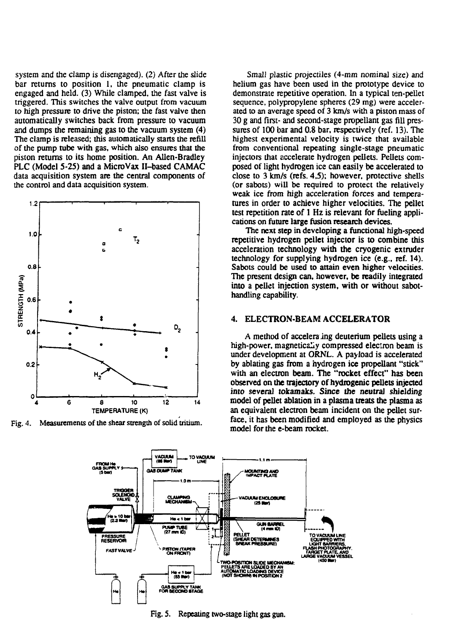**system and the clamp is disengaged). (2) After the slide bar returns to position 1, the pneumatic clamp is engaged and held. (3) While clamped, the fast valve is triggered. This switches the valve output from vacuum to high pressure to drive the piston; the fast valve then automatically switches back from pressure to vacuum and dumps the remaining gas to the vacuum system (4) The clamp is released; this automatically starts the refill of the pump tube with gas, which also ensures that the piston returns to its home position. An Allen-Bradley PLC (Model 5-25) and a MicroVax H-based CAMAC data acquisition system are the central components of the control and data acquisition system.**



**Fig. 4. Measurements of the shear strength of solid tritium.**

**Small plastic projectiles (4-mm nominal size) and helium gas have been used in the prototype device to demonstrate repetitive operation. In a typical ten-pellet sequence, polypropylene spheres (29 mg) were accelerated to an average speed of 3 km/s with a piston mass of 30 g and first- and second-stage propellant gas fill pressures of 100 bar and 0.8 bar, respectively (ref. 13). The highest experimental velocity is twice that available from conventional repeating single-stage pneumatic injectors that accelerate hydrogen pellets. Pellets composed of light hydrogen ice can easily be accelerated to close to 3 km/s (refs. 4,5); however, protective shells (or sabots) will be required to protect the relatively weak ice from high acceleration forces and temperatures in order to achieve higher velocities. The pellet test repetition rate of 1 Hz is relevant for fueling applications on future large fusion research devices.**

**The next step in developing a functional high-speed repetitive hydrogen pellet injector is to combine this acceleration technology with the cryogenic extruder technology for supplying hydrogen ice (e.g., ref. 14). Sabots could be used to attain even higher velocities. The present design can, however, be readily integrated into a pellet injection system, with or without sabothandling capability.**

### 4. ELECTRON-BEAM ACCELERATOR

**A method of accelera ing deuterium pellets using a high-power, magneticaLy compressed electron beam is under development at ORNL. A payload is accelerated by ablating gas from a hydrogen ice propellant "stick" with an electron beam. The "rocket effect" has been observed on the trajectory of hydrogenic pellets injected into several tokamaks. Since the neutral shielding model of pellet ablation in a plasma treats the plasma as an equivalent electron beam incident on the pellet surface, it has been modified and employed as the physics model for the e-beam rocket.**



**Fig. S. Repeating two-stage light gas gun.**